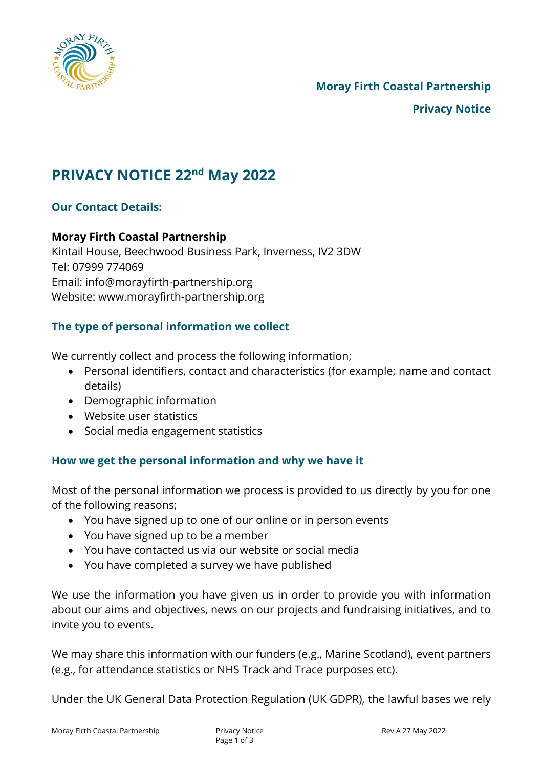

# **PRIVACY NOTICE 22nd May 2022**

## **Our Contact Details:**

## **Moray Firth Coastal Partnership**

Kintail House, Beechwood Business Park, Inverness, IV2 3DW Tel: 07999 774069 Email: [info@morayfirth-partnership.org](mailto:info@morayfirth-partnership.org) Website: [www.morayfirth-partnership.org](http://www.morayfirth-partnership.org/)

# **The type of personal information we collect**

We currently collect and process the following information;

- Personal identifiers, contact and characteristics (for example; name and contact details)
- Demographic information
- Website user statistics
- Social media engagement statistics

## **How we get the personal information and why we have it**

Most of the personal information we process is provided to us directly by you for one of the following reasons;

- You have signed up to one of our online or in person events
- You have signed up to be a member
- You have contacted us via our website or social media
- You have completed a survey we have published

We use the information you have given us in order to provide you with information about our aims and objectives, news on our projects and fundraising initiatives, and to invite you to events.

We may share this information with our funders (e.g., Marine Scotland), event partners (e.g., for attendance statistics or NHS Track and Trace purposes etc).

Under the UK General Data Protection Regulation (UK GDPR), the lawful bases we rely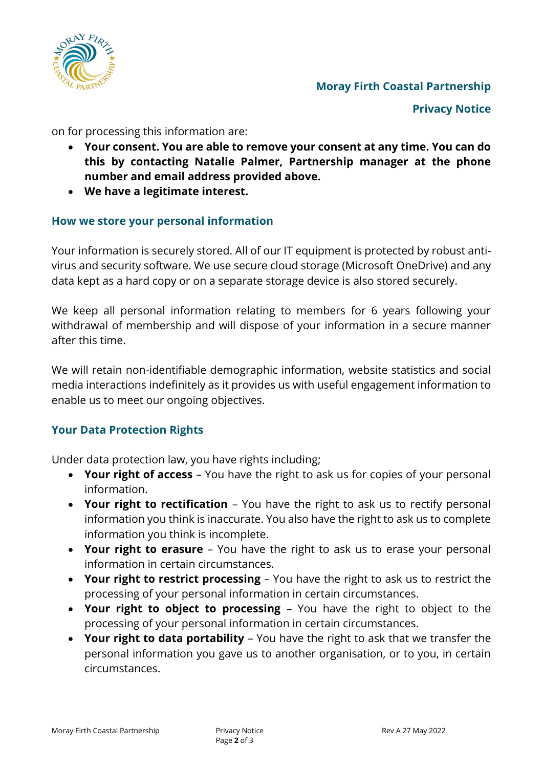

# **Moray Firth Coastal Partnership**

**Privacy Notice**

on for processing this information are:

- **Your consent. You are able to remove your consent at any time. You can do this by contacting Natalie Palmer, Partnership manager at the phone number and email address provided above.**
- **We have a legitimate interest.**

#### **How we store your personal information**

Your information is securely stored. All of our IT equipment is protected by robust antivirus and security software. We use secure cloud storage (Microsoft OneDrive) and any data kept as a hard copy or on a separate storage device is also stored securely.

We keep all personal information relating to members for 6 years following your withdrawal of membership and will dispose of your information in a secure manner after this time.

We will retain non-identifiable demographic information, website statistics and social media interactions indefinitely as it provides us with useful engagement information to enable us to meet our ongoing objectives.

#### **Your Data Protection Rights**

Under data protection law, you have rights including;

- **Your right of access** You have the right to ask us for copies of your personal information.
- **Your right to rectification** You have the right to ask us to rectify personal information you think is inaccurate. You also have the right to ask us to complete information you think is incomplete.
- **Your right to erasure** You have the right to ask us to erase your personal information in certain circumstances.
- **Your right to restrict processing** You have the right to ask us to restrict the processing of your personal information in certain circumstances.
- **Your right to object to processing** You have the right to object to the processing of your personal information in certain circumstances.
- **Your right to data portability** You have the right to ask that we transfer the personal information you gave us to another organisation, or to you, in certain circumstances.